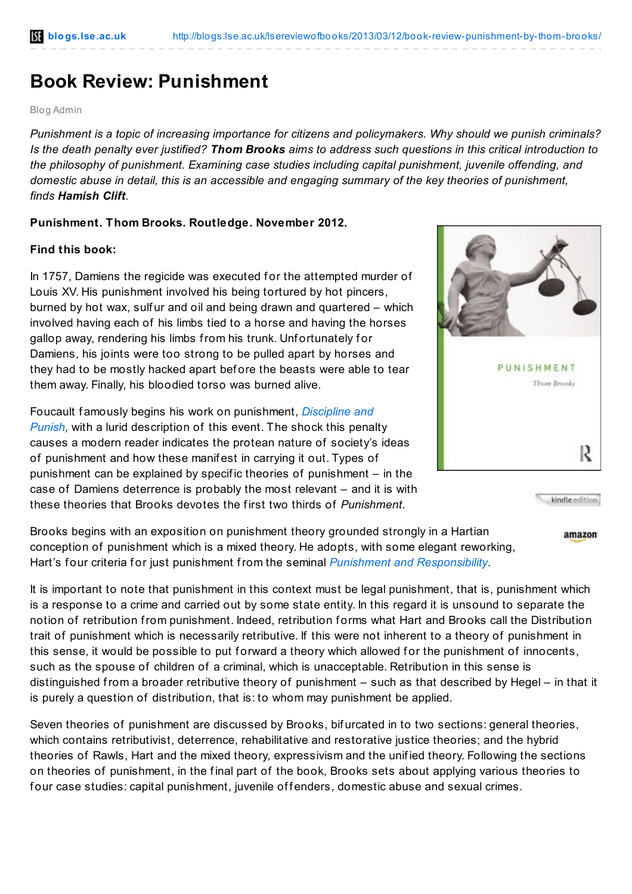## **Book Review: Punishment**

Blog Admin

*Punishment is a topic of increasing importance for citizens and policymakers. Why should we punish criminals?* Is the death penalty ever justified? Thom Brooks aims to address such questions in this critical introduction to *the philosophy of punishment. Examining case studies including capital punishment, juvenile offending, and domestic abuse in detail, this is an accessible and engaging summary of the key theories of punishment, finds Hamish Clift.*

## **Punishment. Thom Brooks. Routledge. November 2012.**

## **Find this book:**

In 1757, Damiens the regicide was executed for the attempted murder of Louis XV. His punishment involved his being tortured by hot pincers, burned by hot wax, sulf ur and oil and being drawn and quartered – which involved having each of his limbs tied to a horse and having the horses gallop away, rendering his limbs from his trunk. Unfortunately for Damiens, his joints were too strong to be pulled apart by horses and they had to be mostly hacked apart bef ore the beasts were able to tear them away. Finally, his bloodied torso was burned alive.

Foucault f amously begins his work on [punishment,](http://www.amazon.co.uk/gp/product/014013722X/ref=as_li_qf_sp_asin_il_tl?ie=UTF8&camp=1634&creative=6738&creativeASIN=014013722X&linkCode=as2&tag=lsreofbo-21) *Discipline and Punish,* with a lurid description of this event. The shock this penalty causes a modern reader indicates the protean nature of society's ideas of punishment and how these manif est in carrying it out. Types of punishment can be explained by specif ic theories of punishment – in the case of Damiens deterrence is probably the most relevant – and it is with these theories that Brooks devotes the f irst two thirds of *Punishment*.



kindle edition

amazon

Brooks begins with an exposition on punishment theory grounded strongly in a Hartian conception of punishment which is a mixed theory. He adopts, with some elegant reworking, Hart's f our criteria f or just punishment from the seminal *Punishment and [Responsibility](http://ukcatalogue.oup.com/product/9780199534784.do#.UTCkmDAqYuc)*.

It is important to note that punishment in this context must be legal punishment, that is, punishment which is a response to a crime and carried out by some state entity. In this regard it is unsound to separate the notion of retribution from punishment. Indeed, retribution f orms what Hart and Brooks call the Distribution trait of punishment which is necessarily retributive. If this were not inherent to a theory of punishment in this sense, it would be possible to put forward a theory which allowed for the punishment of innocents, such as the spouse of children of a criminal, which is unacceptable. Retribution in this sense is distinguished from a broader retributive theory of punishment – such as that described by Hegel – in that it is purely a question of distribution, that is: to whom may punishment be applied.

Seven theories of punishment are discussed by Brooks, bif urcated in to two sections: general theories, which contains retributivist, deterrence, rehabilitative and restorative justice theories; and the hybrid theories of Rawls, Hart and the mixed theory, expressivism and the unif ied theory. Following the sections on theories of punishment, in the f inal part of the book, Brooks sets about applying various theories to four case studies: capital punishment, juvenile offenders, domestic abuse and sexual crimes.